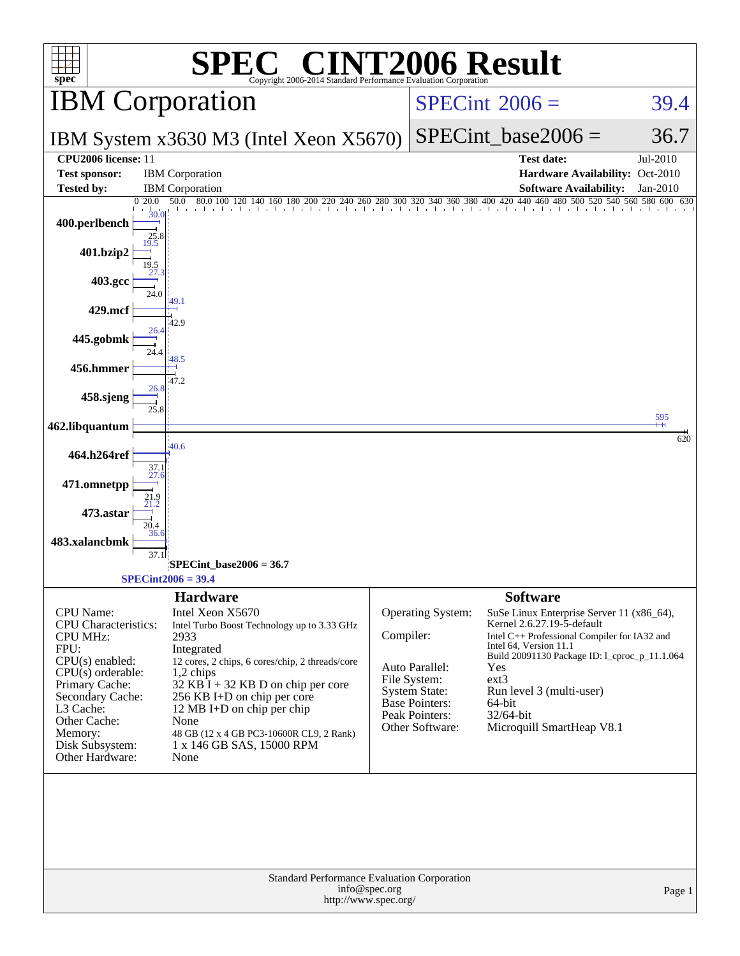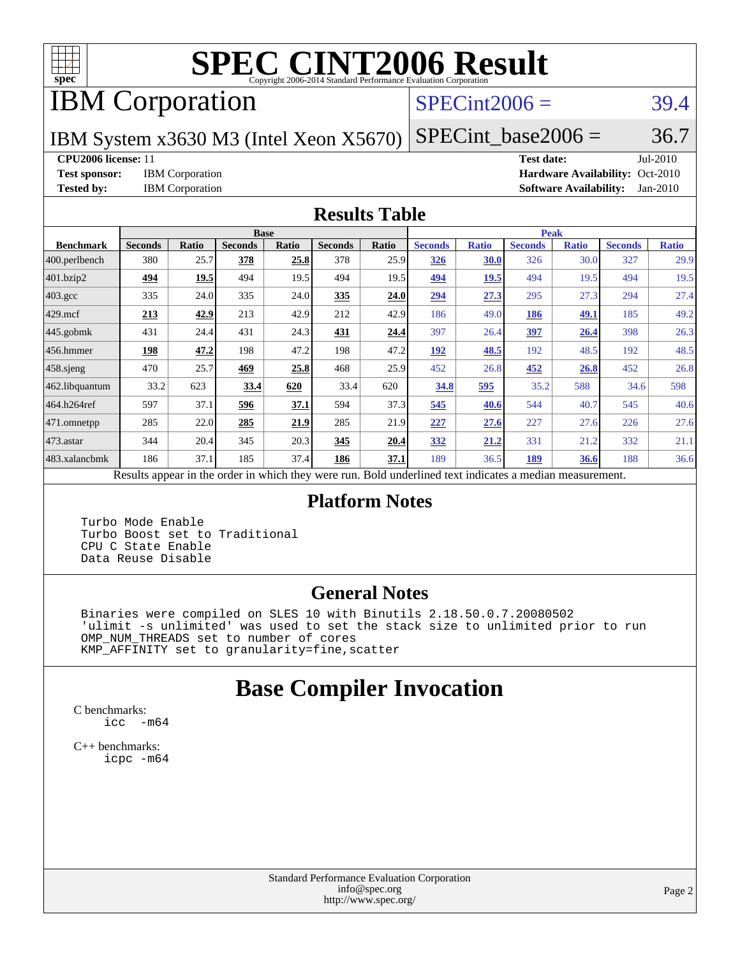

# **[SPEC CINT2006 Result](http://www.spec.org/auto/cpu2006/Docs/result-fields.html#SPECCINT2006Result)**

# IBM Corporation

#### $SPECint2006 = 39.4$  $SPECint2006 = 39.4$

IBM System x3630 M3 (Intel Xeon X5670)

 $SPECTnt\_base2006 = 36.7$ 

#### **[CPU2006 license:](http://www.spec.org/auto/cpu2006/Docs/result-fields.html#CPU2006license)** 11 **[Test date:](http://www.spec.org/auto/cpu2006/Docs/result-fields.html#Testdate)** Jul-2010

**[Test sponsor:](http://www.spec.org/auto/cpu2006/Docs/result-fields.html#Testsponsor)** IBM Corporation **[Hardware Availability:](http://www.spec.org/auto/cpu2006/Docs/result-fields.html#HardwareAvailability)** Oct-2010 **[Tested by:](http://www.spec.org/auto/cpu2006/Docs/result-fields.html#Testedby)** IBM Corporation **[Software Availability:](http://www.spec.org/auto/cpu2006/Docs/result-fields.html#SoftwareAvailability)** Jan-2010

#### **[Results Table](http://www.spec.org/auto/cpu2006/Docs/result-fields.html#ResultsTable)**

|                    | <b>Base</b>    |                 |                |       |                |             | <b>Peak</b>                 |              |                |              |                |              |
|--------------------|----------------|-----------------|----------------|-------|----------------|-------------|-----------------------------|--------------|----------------|--------------|----------------|--------------|
| <b>Benchmark</b>   | <b>Seconds</b> | Ratio           | <b>Seconds</b> | Ratio | <b>Seconds</b> | Ratio       | <b>Seconds</b>              | <b>Ratio</b> | <b>Seconds</b> | <b>Ratio</b> | <b>Seconds</b> | <b>Ratio</b> |
| 400.perlbench      | 380            | 25.7            | 378            | 25.8  | 378            | 25.9        | <b>326</b>                  | 30.0         | 326            | 30.0         | 327            | 29.9         |
| 401.bzip2          | 494            | 19.5            | 494            | 19.5  | 494            | 19.5        | 494                         | 19.5         | 494            | 19.5         | 494            | 19.5         |
| $403.\mathrm{gcc}$ | 335            | 24.0            | 335            | 24.0  | 335            | 24.0        | 294                         | 27.3         | 295            | 27.3         | 294            | 27.4         |
| $429$ mcf          | 213            | 42.9            | 213            | 42.9  | 212            | 42.9        | 186                         | 49.0         | 186            | 49.1         | 185            | 49.2         |
| $445$ .gobmk       | 431            | 24.4            | 431            | 24.3  | 431            | 24.4        | 397                         | 26.4         | 397            | 26.4         | 398            | 26.3         |
| $456.$ hmmer       | 198            | 47.2            | 198            | 47.2  | 198            | 47.2        | 192                         | 48.5         | 192            | 48.5         | 192            | 48.5         |
| $458$ .sjeng       | 470            | 25.7            | 469            | 25.8  | 468            | 25.9        | 452                         | 26.8         | 452            | 26.8         | 452            | 26.8         |
| 462.libquantum     | 33.2           | 623             | 33.4           | 620   | 33.4           | 620         | 34.8                        | 595          | 35.2           | 588          | 34.6           | 598          |
| 464.h264ref        | 597            | 37.1            | 596            | 37.1  | 594            | 37.3        | 545                         | 40.6         | 544            | 40.7         | 545            | 40.6         |
| 471.omnetpp        | 285            | 22.0            | 285            | 21.9  | 285            | 21.9        | 227                         | 27.6         | 227            | 27.6         | 226            | 27.6         |
|                    | 344            | 20.4            | 345            | 20.3  | 345            | 20.4        | 332                         | 21.2         | 331            | 21.2         | 332            | 21.1         |
| 483.xalancbmk      | 186            | 37.1            | 185            | 37.4  | 186            | 37.1        | 189                         | 36.5         | 189            | <b>36.6</b>  | 188            | 36.6         |
| $473.$ astar<br>D. | $\mathbf{1}$   | $\cdot$ $\cdot$ |                | 1.1.1 |                | <b>D</b> 11 | $1 \quad 1$<br>$\mathbf{1}$ | $\mathbf{1}$ |                |              |                |              |

Results appear in the [order in which they were run.](http://www.spec.org/auto/cpu2006/Docs/result-fields.html#RunOrder) Bold underlined text [indicates a median measurement.](http://www.spec.org/auto/cpu2006/Docs/result-fields.html#Median)

#### **[Platform Notes](http://www.spec.org/auto/cpu2006/Docs/result-fields.html#PlatformNotes)**

 Turbo Mode Enable Turbo Boost set to Traditional CPU C State Enable Data Reuse Disable

#### **[General Notes](http://www.spec.org/auto/cpu2006/Docs/result-fields.html#GeneralNotes)**

 Binaries were compiled on SLES 10 with Binutils 2.18.50.0.7.20080502 'ulimit -s unlimited' was used to set the stack size to unlimited prior to run OMP\_NUM\_THREADS set to number of cores KMP\_AFFINITY set to granularity=fine,scatter

### **[Base Compiler Invocation](http://www.spec.org/auto/cpu2006/Docs/result-fields.html#BaseCompilerInvocation)**

[C benchmarks](http://www.spec.org/auto/cpu2006/Docs/result-fields.html#Cbenchmarks): [icc -m64](http://www.spec.org/cpu2006/results/res2010q3/cpu2006-20100830-13120.flags.html#user_CCbase_intel_icc_64bit_f346026e86af2a669e726fe758c88044)

[C++ benchmarks:](http://www.spec.org/auto/cpu2006/Docs/result-fields.html#CXXbenchmarks) [icpc -m64](http://www.spec.org/cpu2006/results/res2010q3/cpu2006-20100830-13120.flags.html#user_CXXbase_intel_icpc_64bit_fc66a5337ce925472a5c54ad6a0de310)

> Standard Performance Evaluation Corporation [info@spec.org](mailto:info@spec.org) <http://www.spec.org/>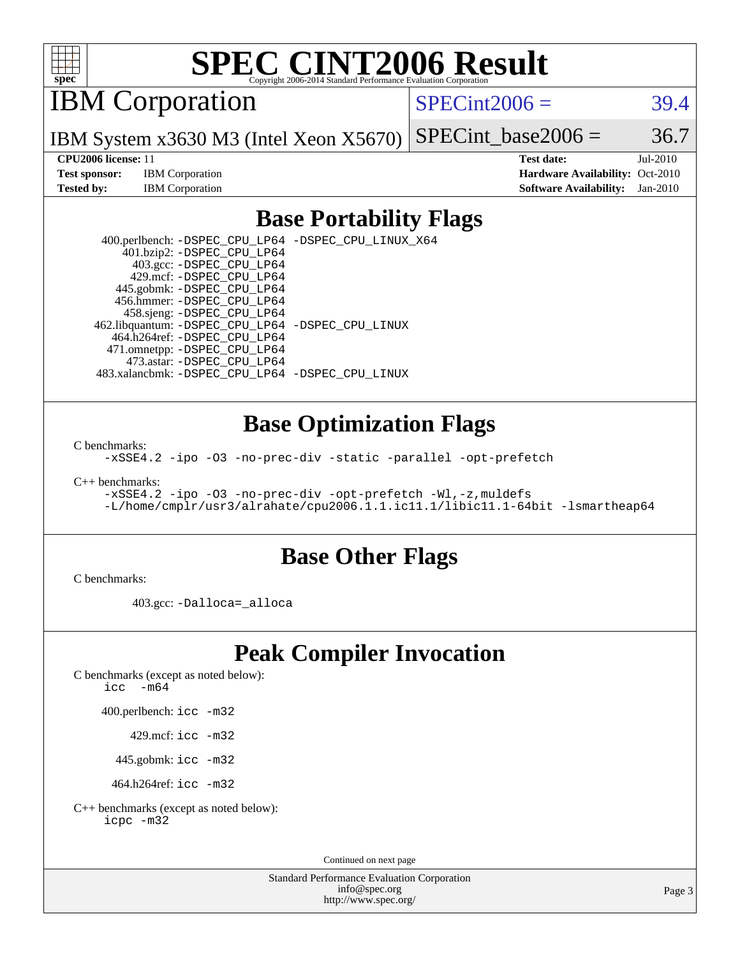

# **[SPEC CINT2006 Result](http://www.spec.org/auto/cpu2006/Docs/result-fields.html#SPECCINT2006Result)**

IBM Corporation

 $SPECint2006 = 39.4$  $SPECint2006 = 39.4$ 

IBM System x3630 M3 (Intel Xeon X5670) SPECint base2006 =  $36.7$ 

**[Test sponsor:](http://www.spec.org/auto/cpu2006/Docs/result-fields.html#Testsponsor)** IBM Corporation **[Hardware Availability:](http://www.spec.org/auto/cpu2006/Docs/result-fields.html#HardwareAvailability)** Oct-2010

**[CPU2006 license:](http://www.spec.org/auto/cpu2006/Docs/result-fields.html#CPU2006license)** 11 **[Test date:](http://www.spec.org/auto/cpu2006/Docs/result-fields.html#Testdate)** Jul-2010 **[Tested by:](http://www.spec.org/auto/cpu2006/Docs/result-fields.html#Testedby)** IBM Corporation **[Software Availability:](http://www.spec.org/auto/cpu2006/Docs/result-fields.html#SoftwareAvailability)** Jan-2010

#### **[Base Portability Flags](http://www.spec.org/auto/cpu2006/Docs/result-fields.html#BasePortabilityFlags)**

 400.perlbench: [-DSPEC\\_CPU\\_LP64](http://www.spec.org/cpu2006/results/res2010q3/cpu2006-20100830-13120.flags.html#b400.perlbench_basePORTABILITY_DSPEC_CPU_LP64) [-DSPEC\\_CPU\\_LINUX\\_X64](http://www.spec.org/cpu2006/results/res2010q3/cpu2006-20100830-13120.flags.html#b400.perlbench_baseCPORTABILITY_DSPEC_CPU_LINUX_X64) 401.bzip2: [-DSPEC\\_CPU\\_LP64](http://www.spec.org/cpu2006/results/res2010q3/cpu2006-20100830-13120.flags.html#suite_basePORTABILITY401_bzip2_DSPEC_CPU_LP64) 403.gcc: [-DSPEC\\_CPU\\_LP64](http://www.spec.org/cpu2006/results/res2010q3/cpu2006-20100830-13120.flags.html#suite_basePORTABILITY403_gcc_DSPEC_CPU_LP64) 429.mcf: [-DSPEC\\_CPU\\_LP64](http://www.spec.org/cpu2006/results/res2010q3/cpu2006-20100830-13120.flags.html#suite_basePORTABILITY429_mcf_DSPEC_CPU_LP64) 445.gobmk: [-DSPEC\\_CPU\\_LP64](http://www.spec.org/cpu2006/results/res2010q3/cpu2006-20100830-13120.flags.html#suite_basePORTABILITY445_gobmk_DSPEC_CPU_LP64) 456.hmmer: [-DSPEC\\_CPU\\_LP64](http://www.spec.org/cpu2006/results/res2010q3/cpu2006-20100830-13120.flags.html#suite_basePORTABILITY456_hmmer_DSPEC_CPU_LP64) 458.sjeng: [-DSPEC\\_CPU\\_LP64](http://www.spec.org/cpu2006/results/res2010q3/cpu2006-20100830-13120.flags.html#suite_basePORTABILITY458_sjeng_DSPEC_CPU_LP64) 462.libquantum: [-DSPEC\\_CPU\\_LP64](http://www.spec.org/cpu2006/results/res2010q3/cpu2006-20100830-13120.flags.html#suite_basePORTABILITY462_libquantum_DSPEC_CPU_LP64) [-DSPEC\\_CPU\\_LINUX](http://www.spec.org/cpu2006/results/res2010q3/cpu2006-20100830-13120.flags.html#b462.libquantum_baseCPORTABILITY_DSPEC_CPU_LINUX) 464.h264ref: [-DSPEC\\_CPU\\_LP64](http://www.spec.org/cpu2006/results/res2010q3/cpu2006-20100830-13120.flags.html#suite_basePORTABILITY464_h264ref_DSPEC_CPU_LP64) 471.omnetpp: [-DSPEC\\_CPU\\_LP64](http://www.spec.org/cpu2006/results/res2010q3/cpu2006-20100830-13120.flags.html#suite_basePORTABILITY471_omnetpp_DSPEC_CPU_LP64) 473.astar: [-DSPEC\\_CPU\\_LP64](http://www.spec.org/cpu2006/results/res2010q3/cpu2006-20100830-13120.flags.html#suite_basePORTABILITY473_astar_DSPEC_CPU_LP64) 483.xalancbmk: [-DSPEC\\_CPU\\_LP64](http://www.spec.org/cpu2006/results/res2010q3/cpu2006-20100830-13120.flags.html#suite_basePORTABILITY483_xalancbmk_DSPEC_CPU_LP64) [-DSPEC\\_CPU\\_LINUX](http://www.spec.org/cpu2006/results/res2010q3/cpu2006-20100830-13120.flags.html#b483.xalancbmk_baseCXXPORTABILITY_DSPEC_CPU_LINUX)

#### **[Base Optimization Flags](http://www.spec.org/auto/cpu2006/Docs/result-fields.html#BaseOptimizationFlags)**

[C benchmarks](http://www.spec.org/auto/cpu2006/Docs/result-fields.html#Cbenchmarks):

[-xSSE4.2](http://www.spec.org/cpu2006/results/res2010q3/cpu2006-20100830-13120.flags.html#user_CCbase_f-xSSE42_f91528193cf0b216347adb8b939d4107) [-ipo](http://www.spec.org/cpu2006/results/res2010q3/cpu2006-20100830-13120.flags.html#user_CCbase_f-ipo) [-O3](http://www.spec.org/cpu2006/results/res2010q3/cpu2006-20100830-13120.flags.html#user_CCbase_f-O3) [-no-prec-div](http://www.spec.org/cpu2006/results/res2010q3/cpu2006-20100830-13120.flags.html#user_CCbase_f-no-prec-div) [-static](http://www.spec.org/cpu2006/results/res2010q3/cpu2006-20100830-13120.flags.html#user_CCbase_f-static) [-parallel](http://www.spec.org/cpu2006/results/res2010q3/cpu2006-20100830-13120.flags.html#user_CCbase_f-parallel) [-opt-prefetch](http://www.spec.org/cpu2006/results/res2010q3/cpu2006-20100830-13120.flags.html#user_CCbase_f-opt-prefetch)

[C++ benchmarks:](http://www.spec.org/auto/cpu2006/Docs/result-fields.html#CXXbenchmarks)

```
-xSSE4.2 -ipo -O3 -no-prec-div -opt-prefetch -Wl,-z,muldefs
-L/home/cmplr/usr3/alrahate/cpu2006.1.1.ic11.1/libic11.1-64bit -lsmartheap64
```
#### **[Base Other Flags](http://www.spec.org/auto/cpu2006/Docs/result-fields.html#BaseOtherFlags)**

[C benchmarks](http://www.spec.org/auto/cpu2006/Docs/result-fields.html#Cbenchmarks):

403.gcc: [-Dalloca=\\_alloca](http://www.spec.org/cpu2006/results/res2010q3/cpu2006-20100830-13120.flags.html#b403.gcc_baseEXTRA_CFLAGS_Dalloca_be3056838c12de2578596ca5467af7f3)

### **[Peak Compiler Invocation](http://www.spec.org/auto/cpu2006/Docs/result-fields.html#PeakCompilerInvocation)**

[C benchmarks \(except as noted below\)](http://www.spec.org/auto/cpu2006/Docs/result-fields.html#Cbenchmarksexceptasnotedbelow):

icc  $-m64$ 

400.perlbench: [icc -m32](http://www.spec.org/cpu2006/results/res2010q3/cpu2006-20100830-13120.flags.html#user_peakCCLD400_perlbench_intel_icc_32bit_a6a621f8d50482236b970c6ac5f55f93)

429.mcf: [icc -m32](http://www.spec.org/cpu2006/results/res2010q3/cpu2006-20100830-13120.flags.html#user_peakCCLD429_mcf_intel_icc_32bit_a6a621f8d50482236b970c6ac5f55f93)

445.gobmk: [icc -m32](http://www.spec.org/cpu2006/results/res2010q3/cpu2006-20100830-13120.flags.html#user_peakCCLD445_gobmk_intel_icc_32bit_a6a621f8d50482236b970c6ac5f55f93)

464.h264ref: [icc -m32](http://www.spec.org/cpu2006/results/res2010q3/cpu2006-20100830-13120.flags.html#user_peakCCLD464_h264ref_intel_icc_32bit_a6a621f8d50482236b970c6ac5f55f93)

[C++ benchmarks \(except as noted below\):](http://www.spec.org/auto/cpu2006/Docs/result-fields.html#CXXbenchmarksexceptasnotedbelow) [icpc -m32](http://www.spec.org/cpu2006/results/res2010q3/cpu2006-20100830-13120.flags.html#user_CXXpeak_intel_icpc_32bit_4e5a5ef1a53fd332b3c49e69c3330699)

Continued on next page

Standard Performance Evaluation Corporation [info@spec.org](mailto:info@spec.org) <http://www.spec.org/>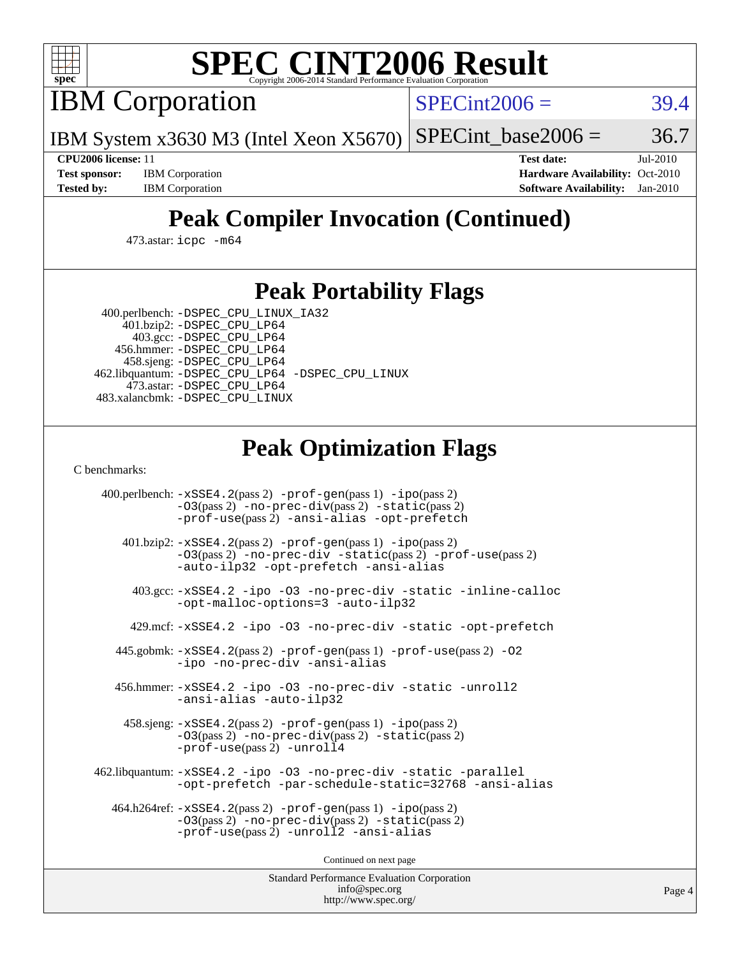

# **[SPEC CINT2006 Result](http://www.spec.org/auto/cpu2006/Docs/result-fields.html#SPECCINT2006Result)**

IBM Corporation

 $SPECint2006 = 39.4$  $SPECint2006 = 39.4$ 

IBM System x3630 M3 (Intel Xeon X5670)  $SPECTnt\_base2006 = 36.7$ 

**[Test sponsor:](http://www.spec.org/auto/cpu2006/Docs/result-fields.html#Testsponsor)** IBM Corporation **[Hardware Availability:](http://www.spec.org/auto/cpu2006/Docs/result-fields.html#HardwareAvailability)** Oct-2010 **[Tested by:](http://www.spec.org/auto/cpu2006/Docs/result-fields.html#Testedby)** IBM Corporation **[Software Availability:](http://www.spec.org/auto/cpu2006/Docs/result-fields.html#SoftwareAvailability)** Jan-2010

**[CPU2006 license:](http://www.spec.org/auto/cpu2006/Docs/result-fields.html#CPU2006license)** 11 **[Test date:](http://www.spec.org/auto/cpu2006/Docs/result-fields.html#Testdate)** Jul-2010

## **[Peak Compiler Invocation \(Continued\)](http://www.spec.org/auto/cpu2006/Docs/result-fields.html#PeakCompilerInvocation)**

473.astar: [icpc -m64](http://www.spec.org/cpu2006/results/res2010q3/cpu2006-20100830-13120.flags.html#user_peakCXXLD473_astar_intel_icpc_64bit_fc66a5337ce925472a5c54ad6a0de310)

#### **[Peak Portability Flags](http://www.spec.org/auto/cpu2006/Docs/result-fields.html#PeakPortabilityFlags)**

 400.perlbench: [-DSPEC\\_CPU\\_LINUX\\_IA32](http://www.spec.org/cpu2006/results/res2010q3/cpu2006-20100830-13120.flags.html#b400.perlbench_peakCPORTABILITY_DSPEC_CPU_LINUX_IA32) 401.bzip2: [-DSPEC\\_CPU\\_LP64](http://www.spec.org/cpu2006/results/res2010q3/cpu2006-20100830-13120.flags.html#suite_peakPORTABILITY401_bzip2_DSPEC_CPU_LP64)

 403.gcc: [-DSPEC\\_CPU\\_LP64](http://www.spec.org/cpu2006/results/res2010q3/cpu2006-20100830-13120.flags.html#suite_peakPORTABILITY403_gcc_DSPEC_CPU_LP64) 456.hmmer: [-DSPEC\\_CPU\\_LP64](http://www.spec.org/cpu2006/results/res2010q3/cpu2006-20100830-13120.flags.html#suite_peakPORTABILITY456_hmmer_DSPEC_CPU_LP64) 458.sjeng: [-DSPEC\\_CPU\\_LP64](http://www.spec.org/cpu2006/results/res2010q3/cpu2006-20100830-13120.flags.html#suite_peakPORTABILITY458_sjeng_DSPEC_CPU_LP64) 462.libquantum: [-DSPEC\\_CPU\\_LP64](http://www.spec.org/cpu2006/results/res2010q3/cpu2006-20100830-13120.flags.html#suite_peakPORTABILITY462_libquantum_DSPEC_CPU_LP64) [-DSPEC\\_CPU\\_LINUX](http://www.spec.org/cpu2006/results/res2010q3/cpu2006-20100830-13120.flags.html#b462.libquantum_peakCPORTABILITY_DSPEC_CPU_LINUX) 473.astar: [-DSPEC\\_CPU\\_LP64](http://www.spec.org/cpu2006/results/res2010q3/cpu2006-20100830-13120.flags.html#suite_peakPORTABILITY473_astar_DSPEC_CPU_LP64) 483.xalancbmk: [-DSPEC\\_CPU\\_LINUX](http://www.spec.org/cpu2006/results/res2010q3/cpu2006-20100830-13120.flags.html#b483.xalancbmk_peakCXXPORTABILITY_DSPEC_CPU_LINUX)

### **[Peak Optimization Flags](http://www.spec.org/auto/cpu2006/Docs/result-fields.html#PeakOptimizationFlags)**

[C benchmarks](http://www.spec.org/auto/cpu2006/Docs/result-fields.html#Cbenchmarks):

 400.perlbench: [-xSSE4.2](http://www.spec.org/cpu2006/results/res2010q3/cpu2006-20100830-13120.flags.html#user_peakPASS2_CFLAGSPASS2_LDCFLAGS400_perlbench_f-xSSE42_f91528193cf0b216347adb8b939d4107)(pass 2) [-prof-gen](http://www.spec.org/cpu2006/results/res2010q3/cpu2006-20100830-13120.flags.html#user_peakPASS1_CFLAGSPASS1_LDCFLAGS400_perlbench_prof_gen_e43856698f6ca7b7e442dfd80e94a8fc)(pass 1) [-ipo](http://www.spec.org/cpu2006/results/res2010q3/cpu2006-20100830-13120.flags.html#user_peakPASS2_CFLAGSPASS2_LDCFLAGS400_perlbench_f-ipo)(pass 2) [-O3](http://www.spec.org/cpu2006/results/res2010q3/cpu2006-20100830-13120.flags.html#user_peakPASS2_CFLAGSPASS2_LDCFLAGS400_perlbench_f-O3)(pass 2) [-no-prec-div](http://www.spec.org/cpu2006/results/res2010q3/cpu2006-20100830-13120.flags.html#user_peakPASS2_CFLAGSPASS2_LDCFLAGS400_perlbench_f-no-prec-div)(pass 2) [-static](http://www.spec.org/cpu2006/results/res2010q3/cpu2006-20100830-13120.flags.html#user_peakPASS2_CFLAGSPASS2_LDCFLAGS400_perlbench_f-static)(pass 2) [-prof-use](http://www.spec.org/cpu2006/results/res2010q3/cpu2006-20100830-13120.flags.html#user_peakPASS2_CFLAGSPASS2_LDCFLAGS400_perlbench_prof_use_bccf7792157ff70d64e32fe3e1250b55)(pass 2) [-ansi-alias](http://www.spec.org/cpu2006/results/res2010q3/cpu2006-20100830-13120.flags.html#user_peakCOPTIMIZE400_perlbench_f-ansi-alias) [-opt-prefetch](http://www.spec.org/cpu2006/results/res2010q3/cpu2006-20100830-13120.flags.html#user_peakCOPTIMIZE400_perlbench_f-opt-prefetch) 401.bzip2: [-xSSE4.2](http://www.spec.org/cpu2006/results/res2010q3/cpu2006-20100830-13120.flags.html#user_peakPASS2_CFLAGSPASS2_LDCFLAGS401_bzip2_f-xSSE42_f91528193cf0b216347adb8b939d4107)(pass 2) [-prof-gen](http://www.spec.org/cpu2006/results/res2010q3/cpu2006-20100830-13120.flags.html#user_peakPASS1_CFLAGSPASS1_LDCFLAGS401_bzip2_prof_gen_e43856698f6ca7b7e442dfd80e94a8fc)(pass 1) [-ipo](http://www.spec.org/cpu2006/results/res2010q3/cpu2006-20100830-13120.flags.html#user_peakPASS2_CFLAGSPASS2_LDCFLAGS401_bzip2_f-ipo)(pass 2) [-O3](http://www.spec.org/cpu2006/results/res2010q3/cpu2006-20100830-13120.flags.html#user_peakPASS2_CFLAGSPASS2_LDCFLAGS401_bzip2_f-O3)(pass 2) [-no-prec-div](http://www.spec.org/cpu2006/results/res2010q3/cpu2006-20100830-13120.flags.html#user_peakCOPTIMIZEPASS2_CFLAGSPASS2_LDCFLAGS401_bzip2_f-no-prec-div) [-static](http://www.spec.org/cpu2006/results/res2010q3/cpu2006-20100830-13120.flags.html#user_peakPASS2_CFLAGSPASS2_LDCFLAGS401_bzip2_f-static)(pass 2) [-prof-use](http://www.spec.org/cpu2006/results/res2010q3/cpu2006-20100830-13120.flags.html#user_peakPASS2_CFLAGSPASS2_LDCFLAGS401_bzip2_prof_use_bccf7792157ff70d64e32fe3e1250b55)(pass 2) [-auto-ilp32](http://www.spec.org/cpu2006/results/res2010q3/cpu2006-20100830-13120.flags.html#user_peakCOPTIMIZE401_bzip2_f-auto-ilp32) [-opt-prefetch](http://www.spec.org/cpu2006/results/res2010q3/cpu2006-20100830-13120.flags.html#user_peakCOPTIMIZE401_bzip2_f-opt-prefetch) [-ansi-alias](http://www.spec.org/cpu2006/results/res2010q3/cpu2006-20100830-13120.flags.html#user_peakCOPTIMIZE401_bzip2_f-ansi-alias) 403.gcc: [-xSSE4.2](http://www.spec.org/cpu2006/results/res2010q3/cpu2006-20100830-13120.flags.html#user_peakCOPTIMIZE403_gcc_f-xSSE42_f91528193cf0b216347adb8b939d4107) [-ipo](http://www.spec.org/cpu2006/results/res2010q3/cpu2006-20100830-13120.flags.html#user_peakCOPTIMIZE403_gcc_f-ipo) [-O3](http://www.spec.org/cpu2006/results/res2010q3/cpu2006-20100830-13120.flags.html#user_peakCOPTIMIZE403_gcc_f-O3) [-no-prec-div](http://www.spec.org/cpu2006/results/res2010q3/cpu2006-20100830-13120.flags.html#user_peakCOPTIMIZE403_gcc_f-no-prec-div) [-static](http://www.spec.org/cpu2006/results/res2010q3/cpu2006-20100830-13120.flags.html#user_peakCOPTIMIZE403_gcc_f-static) [-inline-calloc](http://www.spec.org/cpu2006/results/res2010q3/cpu2006-20100830-13120.flags.html#user_peakCOPTIMIZE403_gcc_f-inline-calloc) [-opt-malloc-options=3](http://www.spec.org/cpu2006/results/res2010q3/cpu2006-20100830-13120.flags.html#user_peakCOPTIMIZE403_gcc_f-opt-malloc-options_13ab9b803cf986b4ee62f0a5998c2238) [-auto-ilp32](http://www.spec.org/cpu2006/results/res2010q3/cpu2006-20100830-13120.flags.html#user_peakCOPTIMIZE403_gcc_f-auto-ilp32) 429.mcf: [-xSSE4.2](http://www.spec.org/cpu2006/results/res2010q3/cpu2006-20100830-13120.flags.html#user_peakCOPTIMIZE429_mcf_f-xSSE42_f91528193cf0b216347adb8b939d4107) [-ipo](http://www.spec.org/cpu2006/results/res2010q3/cpu2006-20100830-13120.flags.html#user_peakCOPTIMIZE429_mcf_f-ipo) [-O3](http://www.spec.org/cpu2006/results/res2010q3/cpu2006-20100830-13120.flags.html#user_peakCOPTIMIZE429_mcf_f-O3) [-no-prec-div](http://www.spec.org/cpu2006/results/res2010q3/cpu2006-20100830-13120.flags.html#user_peakCOPTIMIZE429_mcf_f-no-prec-div) [-static](http://www.spec.org/cpu2006/results/res2010q3/cpu2006-20100830-13120.flags.html#user_peakCOPTIMIZE429_mcf_f-static) [-opt-prefetch](http://www.spec.org/cpu2006/results/res2010q3/cpu2006-20100830-13120.flags.html#user_peakCOPTIMIZE429_mcf_f-opt-prefetch) 445.gobmk: [-xSSE4.2](http://www.spec.org/cpu2006/results/res2010q3/cpu2006-20100830-13120.flags.html#user_peakPASS2_CFLAGSPASS2_LDCFLAGS445_gobmk_f-xSSE42_f91528193cf0b216347adb8b939d4107)(pass 2) [-prof-gen](http://www.spec.org/cpu2006/results/res2010q3/cpu2006-20100830-13120.flags.html#user_peakPASS1_CFLAGSPASS1_LDCFLAGS445_gobmk_prof_gen_e43856698f6ca7b7e442dfd80e94a8fc)(pass 1) [-prof-use](http://www.spec.org/cpu2006/results/res2010q3/cpu2006-20100830-13120.flags.html#user_peakPASS2_CFLAGSPASS2_LDCFLAGS445_gobmk_prof_use_bccf7792157ff70d64e32fe3e1250b55)(pass 2) [-O2](http://www.spec.org/cpu2006/results/res2010q3/cpu2006-20100830-13120.flags.html#user_peakCOPTIMIZE445_gobmk_f-O2) [-ipo](http://www.spec.org/cpu2006/results/res2010q3/cpu2006-20100830-13120.flags.html#user_peakCOPTIMIZE445_gobmk_f-ipo) [-no-prec-div](http://www.spec.org/cpu2006/results/res2010q3/cpu2006-20100830-13120.flags.html#user_peakCOPTIMIZE445_gobmk_f-no-prec-div) [-ansi-alias](http://www.spec.org/cpu2006/results/res2010q3/cpu2006-20100830-13120.flags.html#user_peakCOPTIMIZE445_gobmk_f-ansi-alias) 456.hmmer: [-xSSE4.2](http://www.spec.org/cpu2006/results/res2010q3/cpu2006-20100830-13120.flags.html#user_peakCOPTIMIZE456_hmmer_f-xSSE42_f91528193cf0b216347adb8b939d4107) [-ipo](http://www.spec.org/cpu2006/results/res2010q3/cpu2006-20100830-13120.flags.html#user_peakCOPTIMIZE456_hmmer_f-ipo) [-O3](http://www.spec.org/cpu2006/results/res2010q3/cpu2006-20100830-13120.flags.html#user_peakCOPTIMIZE456_hmmer_f-O3) [-no-prec-div](http://www.spec.org/cpu2006/results/res2010q3/cpu2006-20100830-13120.flags.html#user_peakCOPTIMIZE456_hmmer_f-no-prec-div) [-static](http://www.spec.org/cpu2006/results/res2010q3/cpu2006-20100830-13120.flags.html#user_peakCOPTIMIZE456_hmmer_f-static) [-unroll2](http://www.spec.org/cpu2006/results/res2010q3/cpu2006-20100830-13120.flags.html#user_peakCOPTIMIZE456_hmmer_f-unroll_784dae83bebfb236979b41d2422d7ec2) [-ansi-alias](http://www.spec.org/cpu2006/results/res2010q3/cpu2006-20100830-13120.flags.html#user_peakCOPTIMIZE456_hmmer_f-ansi-alias) [-auto-ilp32](http://www.spec.org/cpu2006/results/res2010q3/cpu2006-20100830-13120.flags.html#user_peakCOPTIMIZE456_hmmer_f-auto-ilp32) 458.sjeng: [-xSSE4.2](http://www.spec.org/cpu2006/results/res2010q3/cpu2006-20100830-13120.flags.html#user_peakPASS2_CFLAGSPASS2_LDCFLAGS458_sjeng_f-xSSE42_f91528193cf0b216347adb8b939d4107)(pass 2) [-prof-gen](http://www.spec.org/cpu2006/results/res2010q3/cpu2006-20100830-13120.flags.html#user_peakPASS1_CFLAGSPASS1_LDCFLAGS458_sjeng_prof_gen_e43856698f6ca7b7e442dfd80e94a8fc)(pass 1) [-ipo](http://www.spec.org/cpu2006/results/res2010q3/cpu2006-20100830-13120.flags.html#user_peakPASS2_CFLAGSPASS2_LDCFLAGS458_sjeng_f-ipo)(pass 2) [-O3](http://www.spec.org/cpu2006/results/res2010q3/cpu2006-20100830-13120.flags.html#user_peakPASS2_CFLAGSPASS2_LDCFLAGS458_sjeng_f-O3)(pass 2) [-no-prec-div](http://www.spec.org/cpu2006/results/res2010q3/cpu2006-20100830-13120.flags.html#user_peakPASS2_CFLAGSPASS2_LDCFLAGS458_sjeng_f-no-prec-div)(pass 2) [-static](http://www.spec.org/cpu2006/results/res2010q3/cpu2006-20100830-13120.flags.html#user_peakPASS2_CFLAGSPASS2_LDCFLAGS458_sjeng_f-static)(pass 2) [-prof-use](http://www.spec.org/cpu2006/results/res2010q3/cpu2006-20100830-13120.flags.html#user_peakPASS2_CFLAGSPASS2_LDCFLAGS458_sjeng_prof_use_bccf7792157ff70d64e32fe3e1250b55)(pass 2) [-unroll4](http://www.spec.org/cpu2006/results/res2010q3/cpu2006-20100830-13120.flags.html#user_peakCOPTIMIZE458_sjeng_f-unroll_4e5e4ed65b7fd20bdcd365bec371b81f) 462.libquantum: [-xSSE4.2](http://www.spec.org/cpu2006/results/res2010q3/cpu2006-20100830-13120.flags.html#user_peakCOPTIMIZE462_libquantum_f-xSSE42_f91528193cf0b216347adb8b939d4107) [-ipo](http://www.spec.org/cpu2006/results/res2010q3/cpu2006-20100830-13120.flags.html#user_peakCOPTIMIZE462_libquantum_f-ipo) [-O3](http://www.spec.org/cpu2006/results/res2010q3/cpu2006-20100830-13120.flags.html#user_peakCOPTIMIZE462_libquantum_f-O3) [-no-prec-div](http://www.spec.org/cpu2006/results/res2010q3/cpu2006-20100830-13120.flags.html#user_peakCOPTIMIZE462_libquantum_f-no-prec-div) [-static](http://www.spec.org/cpu2006/results/res2010q3/cpu2006-20100830-13120.flags.html#user_peakCOPTIMIZE462_libquantum_f-static) [-parallel](http://www.spec.org/cpu2006/results/res2010q3/cpu2006-20100830-13120.flags.html#user_peakCOPTIMIZE462_libquantum_f-parallel) [-opt-prefetch](http://www.spec.org/cpu2006/results/res2010q3/cpu2006-20100830-13120.flags.html#user_peakCOPTIMIZE462_libquantum_f-opt-prefetch) [-par-schedule-static=32768](http://www.spec.org/cpu2006/results/res2010q3/cpu2006-20100830-13120.flags.html#user_peakCOPTIMIZE462_libquantum_f-par-schedule_9386bcd99ba64e99ee01d1aafefddd14) [-ansi-alias](http://www.spec.org/cpu2006/results/res2010q3/cpu2006-20100830-13120.flags.html#user_peakCOPTIMIZE462_libquantum_f-ansi-alias) 464.h264ref: [-xSSE4.2](http://www.spec.org/cpu2006/results/res2010q3/cpu2006-20100830-13120.flags.html#user_peakPASS2_CFLAGSPASS2_LDCFLAGS464_h264ref_f-xSSE42_f91528193cf0b216347adb8b939d4107)(pass 2) [-prof-gen](http://www.spec.org/cpu2006/results/res2010q3/cpu2006-20100830-13120.flags.html#user_peakPASS1_CFLAGSPASS1_LDCFLAGS464_h264ref_prof_gen_e43856698f6ca7b7e442dfd80e94a8fc)(pass 1) [-ipo](http://www.spec.org/cpu2006/results/res2010q3/cpu2006-20100830-13120.flags.html#user_peakPASS2_CFLAGSPASS2_LDCFLAGS464_h264ref_f-ipo)(pass 2) [-O3](http://www.spec.org/cpu2006/results/res2010q3/cpu2006-20100830-13120.flags.html#user_peakPASS2_CFLAGSPASS2_LDCFLAGS464_h264ref_f-O3)(pass 2) [-no-prec-div](http://www.spec.org/cpu2006/results/res2010q3/cpu2006-20100830-13120.flags.html#user_peakPASS2_CFLAGSPASS2_LDCFLAGS464_h264ref_f-no-prec-div)(pass 2) [-static](http://www.spec.org/cpu2006/results/res2010q3/cpu2006-20100830-13120.flags.html#user_peakPASS2_CFLAGSPASS2_LDCFLAGS464_h264ref_f-static)(pass 2) [-prof-use](http://www.spec.org/cpu2006/results/res2010q3/cpu2006-20100830-13120.flags.html#user_peakPASS2_CFLAGSPASS2_LDCFLAGS464_h264ref_prof_use_bccf7792157ff70d64e32fe3e1250b55)(pass 2) [-unroll2](http://www.spec.org/cpu2006/results/res2010q3/cpu2006-20100830-13120.flags.html#user_peakCOPTIMIZE464_h264ref_f-unroll_784dae83bebfb236979b41d2422d7ec2) [-ansi-alias](http://www.spec.org/cpu2006/results/res2010q3/cpu2006-20100830-13120.flags.html#user_peakCOPTIMIZE464_h264ref_f-ansi-alias)

Continued on next page

Standard Performance Evaluation Corporation [info@spec.org](mailto:info@spec.org) <http://www.spec.org/>